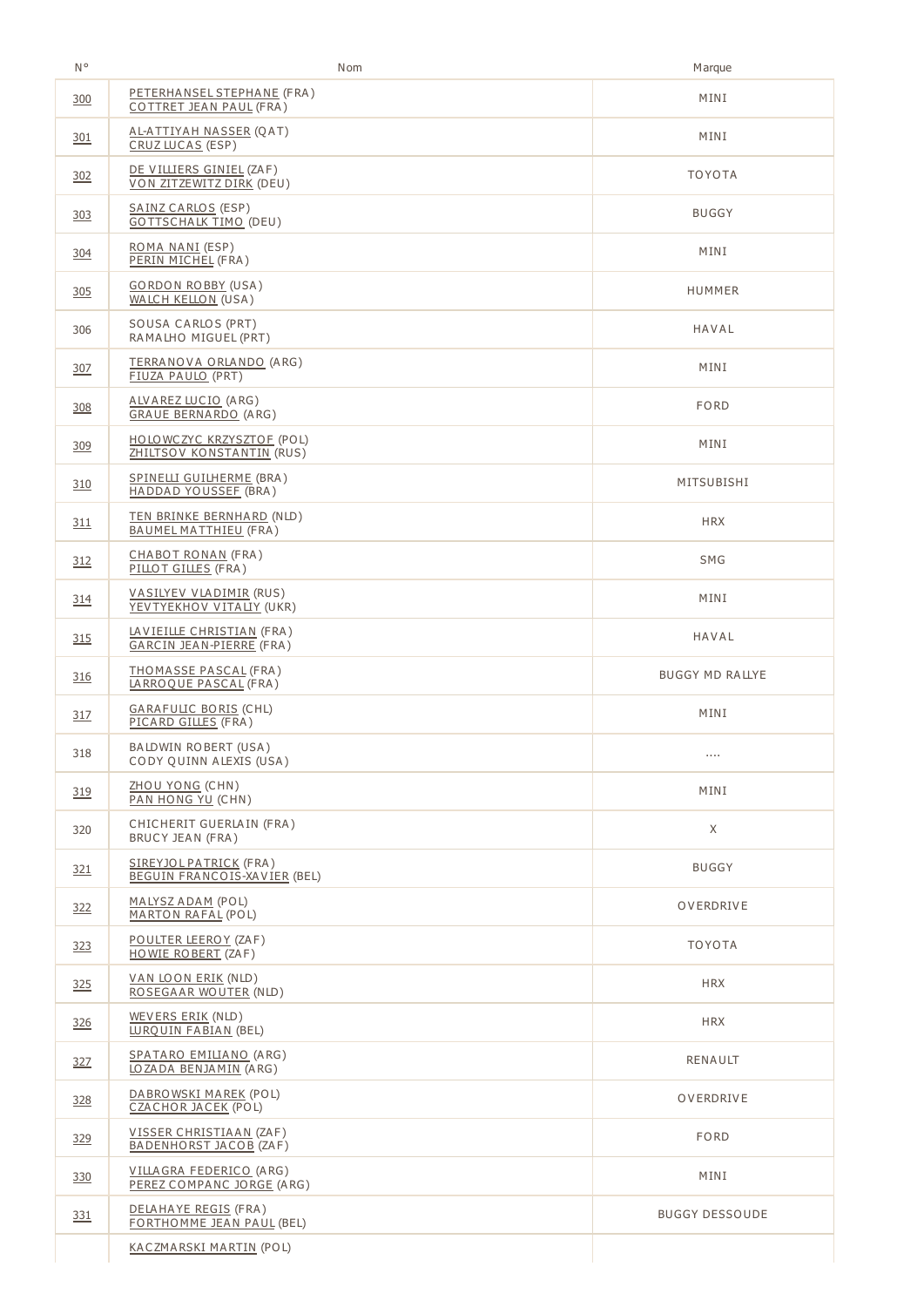| N°         | Nom                                                           | Marque                 |
|------------|---------------------------------------------------------------|------------------------|
| 300        | PETERHANSEL STEPHANE (FRA)<br>COTTRET JEAN PAUL (FRA)         | MINI                   |
| 301        | <u>AL-ATTIYAH NASSER (Q</u> AT)<br>CRUZ LUCAS (ESP)           | MINI                   |
| 302        | DE VILLIERS GINIEL (ZAF)<br>VON ZITZEWITZ DIRK (DEU)          | <b>TOYOTA</b>          |
| 303        | SAINZ CARLOS (ESP)<br><b>GOTTSCHALK TIMO (DEU)</b>            | <b>BUGGY</b>           |
| 304        | ROMA NANI (ESP)<br>PERIN MICHEL (FRA)                         | MINI                   |
| 305        | <b>GORDON ROBBY (USA)</b><br><b>WALCH KELLON (USA)</b>        | HUMMER                 |
| 306        | SOUSA CARLOS (PRT)<br>RAMALHO MIGUEL (PRT)                    | HAVAL                  |
| <u>307</u> | <u>TERRANOVA ORLANDO</u> (ARG)<br>FIUZA PAULO (PRT)           | MINI                   |
| 308        | ALVAREZ LUCIO (ARG)<br><b>GRAUE BERNARDO (ARG)</b>            | <b>FORD</b>            |
| 309        | HOLOWCZYC KRZYSZTOF (POL)<br>ZHILTSOV KONSTANTIN (RUS)        | MINI                   |
| 310        | SPINELLI GUILHERME (BRA)<br><b>HADDAD YOUSSEE (BRA)</b>       | MITSUBISHI             |
| 311        | TEN BRINKE BERNHARD (NLD)<br>BAUMEL MATTHIEU (FRA)            | <b>HRX</b>             |
| 312        | CHABOT RONAN (FRA)<br>PILLOT GILLES (FRA)                     | SMG                    |
| 314        | <b>VASILYEV VLADIMIR (RUS)</b><br>YEVTYEKHOV VITALIY (UKR)    | MINI                   |
| 315        | LAVIEILLE CHRISTIAN (FRA)<br>GARCIN JEAN-PIERRE (FRA)         | HAVAL                  |
| 316        | THOMASSE PASCAL (FRA)<br>LARROQUE PASCAL (FRA)                | <b>BUGGY MD RALLYE</b> |
| 317        | <b>GARAFULIC BORIS (CHL)</b><br>PICARD GILLES (FRA)           | MINI                   |
| 318        | BALDWIN ROBERT (USA)<br>CODY QUINN ALEXIS (USA)               |                        |
| 319        | ZHOU YONG (CHN)<br>PAN HONG YU (CHN)                          | MINI                   |
| 320        | CHICHERIT GUERLAIN (FRA)<br><b>BRUCY JEAN (FRA)</b>           | X                      |
| 321        | <b>SIREYJOL PATRICK (FRA)</b><br>BEGUIN FRANCOIS-XAVIER (BEL) | <b>BUGGY</b>           |
| 322        | <u>MALYSZ ADAM</u> (POL)<br><b>MARTON RAFAL (POL)</b>         | OVERDRIVE              |
| 323        | POULTER LEEROY (ZAF)<br>HOWIE ROBERT (ZAF)                    | <b>TOYOTA</b>          |
| 325        | <u>VAN LOON ERIK</u> (NLD)<br>ROSEGAAR WOUTER (NLD)           | <b>HRX</b>             |
| 326        | WEVERS ERIK (NLD)<br>LUROUIN FABIAN (BEL)                     | <b>HRX</b>             |
| 327        | SPATARO EMILIANO (ARG)<br>LOZADA BENJAMIN (ARG)               | RENAULT                |
| 328        | DABROWSKI MAREK (POL)<br>CZACHOR JACEK (POL)                  | OVERDRIVE              |
| 329        | VISSER CHRISTIAAN (ZAF)<br>BADENHORST JACOB (ZAF)             | <b>FORD</b>            |
| 330        | VILLAGRA FEDERICO (ARG)<br>PEREZ COMPANC JORGE (ARG)          | MINI                   |
| <u>331</u> | DELAHAYE REGIS (FRA)<br><b>FORTHOMME JEAN PAUL (BEL)</b>      | <b>BUGGY DESSOUDE</b>  |
|            | KACZMARSKI MARTIN (POL)                                       |                        |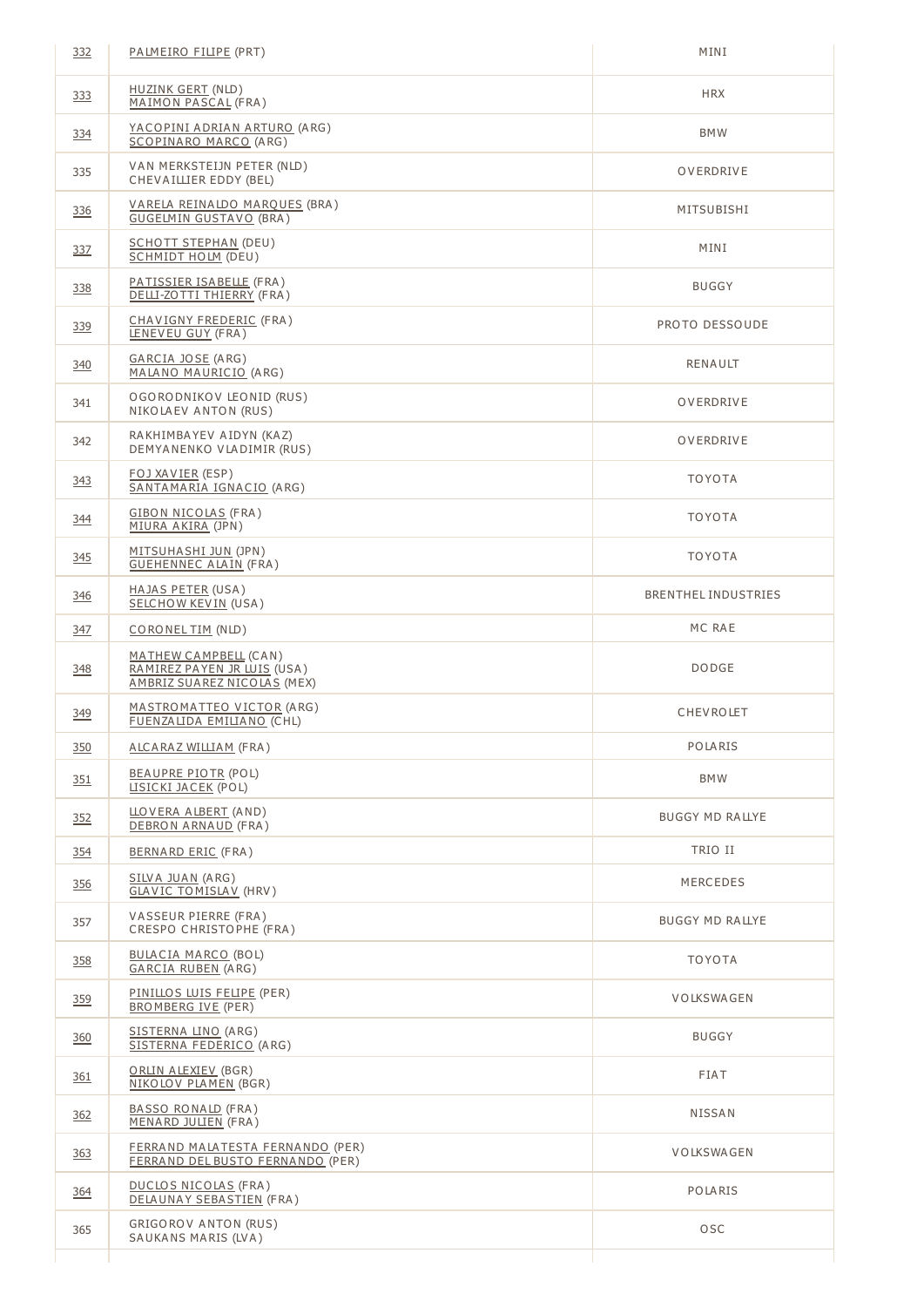| 332        | PALMEIRO FILIPE (PRT)                                                               | MINI                   |
|------------|-------------------------------------------------------------------------------------|------------------------|
| 333        | <b>HUZINK GERT (NLD)</b><br>MAIMON PASCAL (FRA)                                     | <b>HRX</b>             |
| 334        | YACOPINI ADRIAN ARTURO (ARG)<br>SCOPINARO MARCO (ARG)                               | <b>BMW</b>             |
| 335        | VAN MERKSTEIJN PETER (NLD)<br>CHEVAILLIER EDDY (BEL)                                | OVERDRIVE              |
| 336        | <u>VARELA REINALDO MARQUES</u> (BRA)<br><b>GUGELMIN GUSTAVO (BRA)</b>               | MITSUBISHI             |
| 337        | <b>SCHOTT STEPHAN (DEU)</b><br><b>SCHMIDT HOLM (DEU)</b>                            | MINI                   |
| 338        | <u>PATISSIER ISABELLE</u> (FRA )<br>DELLI-ZOTTI THIERRY (FRA)                       | <b>BUGGY</b>           |
| 339        | CHAVIGNY FREDERIC (FRA)<br>LENEVEU GUY (FRA)                                        | PROTO DESSOUDE         |
| <u>340</u> | GARCIA JOSE (ARG)<br>MALANO MAURICIO (ARG)                                          | <b>RENAULT</b>         |
| 341        | OGORODNIKOV LEONID (RUS)<br>NIKOLAEV ANTON (RUS)                                    | OVERDRIVE              |
| 342        | RAKHIMBAYEV AIDYN (KAZ)<br>DEMYANENKO VLADIMIR (RUS)                                | OVERDRIVE              |
| 343        | <u>FOJ XAVIER</u> (ESP)<br>SANTAMARIA IGNACIO (ARG)                                 | <b>TOYOTA</b>          |
| 344        | <b>GIBON NICOLAS (FRA)</b><br>MIURA AKIRA (JPN)                                     | <b>TOYOTA</b>          |
| 345        | <u>MITSUHASHI JUN</u> (JPN)<br><b>GUEHENNEC ALAIN (FRA)</b>                         | <b>TOYOTA</b>          |
| 346        | HAJAS PETER (USA)<br><b>SELCHOW KEVIN (USA)</b>                                     | BRENTHEL INDUSTRIES    |
| <u>347</u> | <u>CORONEL TIM</u> (NLD)                                                            | MC RAE                 |
| 348        | MATHEW CAMPBELL (CAN)<br>RAMIREZ PAYEN JR LUIS (USA)<br>AMBRIZ SUAREZ NICOLAS (MEX) | <b>DODGE</b>           |
| <u>349</u> | MASTROMATTEO VICTOR (ARG)<br>FUENZALIDA EMILIANO (CHL)                              | CHEVROLET              |
| 350        | ALCARAZ WILLIAM (FRA)                                                               | POLARIS                |
| 351        | <b>BEAUPRE PIOTR (POL)</b><br>LISICKI JACEK (POL)                                   | <b>BMW</b>             |
| 352        | LLOVERA ALBERT (AND)<br>DEBRON ARNAUD (FRA)                                         | <b>BUGGY MD RALLYE</b> |
| 354        | <b>BERNARD ERIC (FRA)</b>                                                           | TRIO II                |
| 356        | SILVA JUAN (ARG)<br><b>GLAVIC TOMISLAV (HRV)</b>                                    | MERCEDES               |
| 357        | VASSEUR PIERRE (FRA)<br>CRESPO CHRISTOPHE (FRA)                                     | BUGGY MD RALLYE        |
| 358        | <b>BULACIA MARCO (BOL)</b><br><b>GARCIA RUBEN (ARG)</b>                             | <b>TOYOTA</b>          |
| 359        | <u>PINILLOS LUIS FELIPE</u> (PER)<br><b>BROMBERG IVE (PER)</b>                      | <b>VOLKSWAGEN</b>      |
| 360        | <u>SISTERNA LINO</u> (ARG)<br>SISTERNA FEDERICO (ARG)                               | <b>BUGGY</b>           |
| <u>361</u> | ORLIN ALEXIEV (BGR)<br>NIKOLOV PLAMEN (BGR)                                         | FIAT                   |
| 362        | <b>BASSO RONALD (FRA)</b><br>MENARD JULIEN (FRA)                                    | NISSAN                 |
| <u>363</u> | FERRAND MALATESTA FERNANDO (PER)<br>FERRAND DEL BUSTO FERNANDO (PER)                | <b>VOLKSWAGEN</b>      |
| 364        | DUCLOS NICOLAS (FRA)<br>DELAUNAY SEBASTIEN (FRA)                                    | POLARIS                |
| 365        | GRIGOROV ANTON (RUS)                                                                | OSC                    |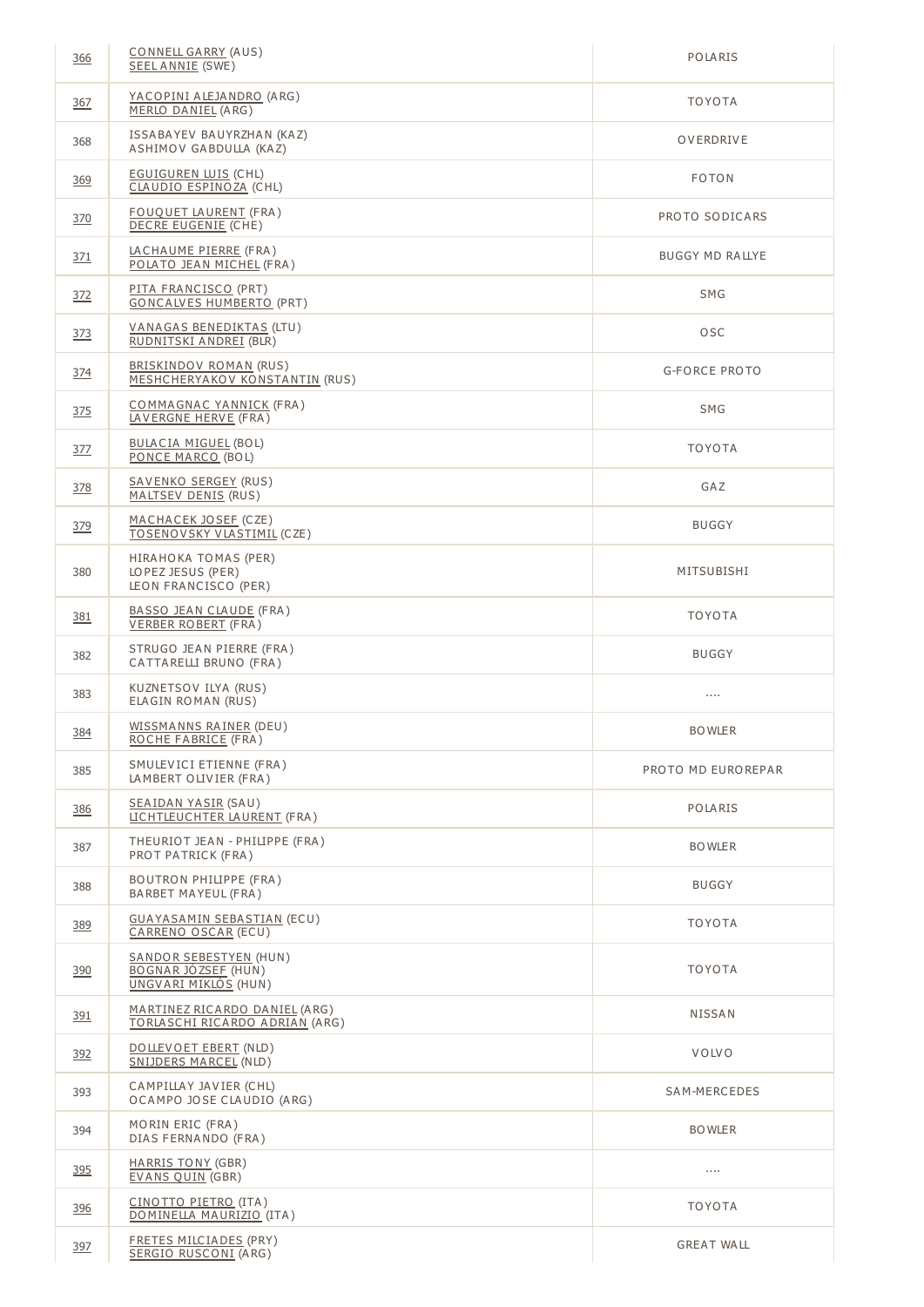| 366        | CONNELL GARRY (AUS)<br>SEEL ANNIE (SWE)                                      | POLARIS                |
|------------|------------------------------------------------------------------------------|------------------------|
| 367        | <u>YACOPINI ALEJANDRO</u> (ARG)<br>MERLO DANIEL (ARG)                        | <b>TOYOTA</b>          |
| 368        | ISSABAYEV BAUYRZHAN (KAZ)<br>ASHIMOV GABDULLA (KAZ)                          | OVERDRIVE              |
| 369        | <b>EGUIGUREN LUIS (CHL)</b><br>CLAUDIO ESPINOZA (CHL)                        | <b>FOTON</b>           |
| <u>370</u> | <u>FOUQUET LAURENT</u> (FRA)<br>DECRE EUGENIE (CHE)                          | PROTO SODICARS         |
| 371        | LACHAUME PIERRE (FRA)<br>POLATO JEAN MICHEL (FRA)                            | <b>BUGGY MD RALLYE</b> |
| 372        | PITA FRANCISCO (PRT)<br><b>GONCALVES HUMBERTO (PRT)</b>                      | <b>SMG</b>             |
| 373        | VANAGAS BENEDIKTAS (LTU)<br>RUDNITSKI ANDREI (BLR)                           | <b>OSC</b>             |
| 374        | BRISKINDOV ROMAN (RUS)<br>MESHCHERYAKOV KONSTANTIN (RUS)                     | <b>G-FORCE PROTO</b>   |
| 375        | COMMAGNAC YANNICK (FRA)<br>LAVERGNE HERVE (FRA)                              | SMG                    |
| 377        | <b>BULACIA MIGUEL (BOL)</b><br>PONCE MARCO (BOL)                             | <b>TOYOTA</b>          |
| 378        | <u>SAVENKO SERGEY</u> (RUS)<br>MALTSEV DENIS (RUS)                           | GAZ                    |
| 379        | <u>MACHACEK JOSEF</u> (CZE)<br>TOSENOVSKY VLASTIMIL (CZE)                    | <b>BUGGY</b>           |
| 380        | HIRAHOKA TOMAS (PER)<br>LOPEZ JESUS (PER)<br>LEON FRANCISCO (PER)            | MITSUBISHI             |
| 381        | BASSO JEAN CLAUDE (FRA)<br><b>VERBER ROBERT</b> (FRA)                        | <b>TOYOTA</b>          |
| 382        | STRUGO JEAN PIERRE (FRA)<br>CATTARELLI BRUNO (FRA)                           | <b>BUGGY</b>           |
| 383        | KUZNETSOV ILYA (RUS)<br>ELAGIN ROMAN (RUS)                                   | $\cdots$               |
| 384        | <u>WISSMANNS RAINER</u> (DEU)<br>ROCHE FABRICE (FRA)                         | <b>BOWLER</b>          |
| 385        | SMULEVICI ETIENNE (FRA)<br>LAMBERT OLIVIER (FRA)                             | PROTO MD EUROREPAR     |
| <u>386</u> | <b>SEAIDAN YASIR (SAU)</b><br>LICHTLEUCHTER LAURENT (FRA)                    | POLARIS                |
| 387        | THEURIOT JEAN - PHILIPPE (FRA)<br>PROT PATRICK (FRA)                         | <b>BOWLER</b>          |
| 388        | <b>BOUTRON PHILIPPE (FRA)</b><br>BARBET MAYEUL (FRA)                         | <b>BUGGY</b>           |
| 389        | <b>GUAYASAMIN SEBASTIAN (ECU)</b><br>CARRENO OSCAR (ECU)                     | <b>TOYOTA</b>          |
| 390        | <b>SANDOR SEBESTYEN (HUN)</b><br>BOGNAR JÓZSEF (HUN)<br>UNGVARI MIKLÓS (HUN) | <b>TOYOTA</b>          |
| <u>391</u> | MARTINEZ RICARDO DANIEL (ARG)<br>TORLASCHI RICARDO ADRIAN (ARG)              | NISSAN                 |
| 392        | DOLLEVOET EBERT (NLD)<br>SNIJDERS MARCEL (NLD)                               | <b>VOLVO</b>           |
| 393        | CAMPILLAY JAVIER (CHL)<br>OCAMPO JOSE CLAUDIO (ARG)                          | SAM-MERCEDES           |
| 394        | MORIN ERIC (FRA)<br>DIAS FERNANDO (FRA)                                      | <b>BOWLER</b>          |
| 395        | HARRIS TONY (GBR)<br><b>EVANS QUIN (GBR)</b>                                 |                        |
| 396        | CINOTTO PIETRO (ITA)<br>DOMINELLA MAURIZIO (ITA)                             | <b>TOYOTA</b>          |
| 397        | FRETES MILCIADES (PRY)<br>SERGIO RUSCONI (ARG)                               | <b>GREAT WALL</b>      |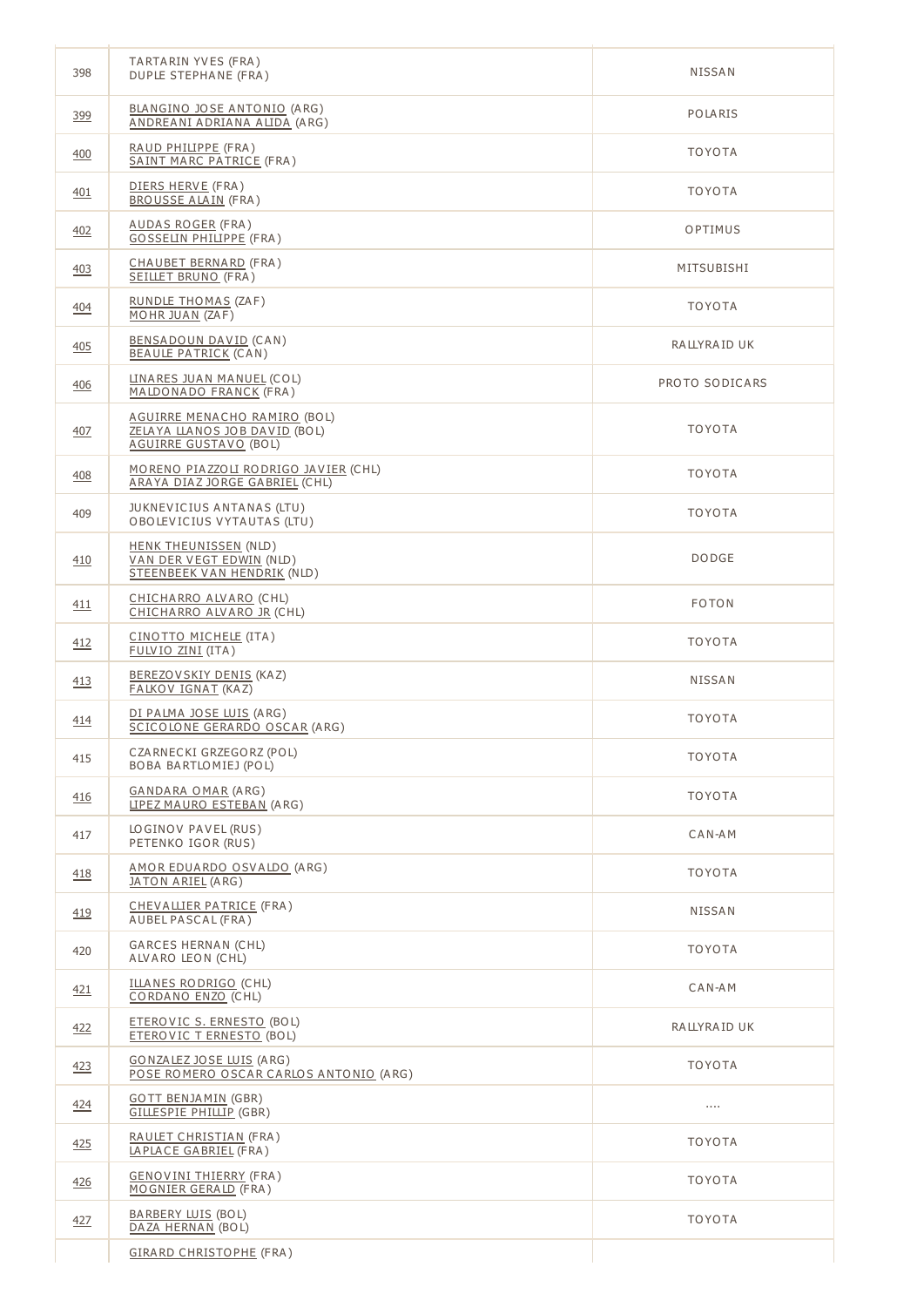| 398        | TARTARIN YVES (FRA)<br>DUPLE STEPHANE (FRA)                                                    | <b>NISSAN</b>  |
|------------|------------------------------------------------------------------------------------------------|----------------|
| 399        | BLANGINO JOSE ANTONIO (ARG)<br>ANDREANI ADRIANA ALIDA (ARG)                                    | POLARIS        |
| 400        | RAUD PHILIPPE (FRA)<br>SAINT MARC PATRICE (FRA)                                                | <b>TOYOTA</b>  |
| 401        | DIERS HERVE (FRA)<br><b>BROUSSE ALAIN (FRA)</b>                                                | <b>TOYOTA</b>  |
| 402        | <u>AUDAS ROGER</u> (FRA)<br><b>GOSSELIN PHILIPPE (FRA)</b>                                     | OPTIMUS        |
| 403        | CHAUBET BERNARD (FRA)<br>SEILLET BRUNO (FRA)                                                   | MITSUBISHI     |
| <u>404</u> | RUNDLE THOMAS (ZAF)<br>MOHR JUAN (ZAF)                                                         | <b>TOYOTA</b>  |
| <u>405</u> | BENSADOUN DAVID (CAN)<br><b>BEAULE PATRICK (CAN)</b>                                           | RALLYRAID UK   |
| 406        | LINARES JUAN MANUEL (COL)<br>MALDONADO FRANCK (FRA)                                            | PROTO SODICARS |
| 407        | AGUIRRE MENACHO RAMIRO (BOL)<br>ZELAYA LLANOS JOB DAVID (BOL)<br><b>AGUIRRE GUSTAVO (BOL)</b>  | <b>TOYOTA</b>  |
| 408        | MORENO PIAZZOLI RODRIGO JAVIER (CHL)<br>ARAYA DIAZ JORGE GABRIEL (CHL)                         | <b>TOYOTA</b>  |
| 409        | JUKNEVICIUS ANTANAS (LTU)<br>OBOLEVICIUS VYTAUTAS (LTU)                                        | <b>TOYOTA</b>  |
| 410        | <b>HENK THEUNISSEN (NLD)</b><br>VAN DER VEGT EDWIN (NLD)<br><b>STEENBEEK VAN HENDRIK (NLD)</b> | <b>DODGE</b>   |
| <u>411</u> | CHICHARRO ALVARO (CHL)<br>CHICHARRO ALVARO JR (CHL)                                            | <b>FOTON</b>   |
| 412        | CINOTTO MICHELE (ITA)<br>FULVIO ZINI (ITA)                                                     | <b>TOYOTA</b>  |
| <u>413</u> | BEREZOVSKIY DENIS (KAZ)<br><b>FALKOV IGNAT (KAZ)</b>                                           | NISSAN         |
| 414        | DI PALMA JOSE LUIS (ARG)<br>SCICOLONE GERARDO OSCAR (ARG)                                      | <b>TOYOTA</b>  |
| 415        | CZARNECKI GRZEGORZ (POL)<br>BOBA BARTLOMIEJ (POL)                                              | <b>TOYOTA</b>  |
| 416        | <b>GANDARA OMAR (ARG)</b><br>LIPEZ MAURO ESTEBAN (ARG)                                         | <b>TOYOTA</b>  |
| 417        | LOGINOV PAVEL (RUS)<br>PETENKO IGOR (RUS)                                                      | CAN-AM         |
| 418        | AMOR EDUARDO OSVALDO (ARG)<br>JATON ARIEL (ARG)                                                | <b>TOYOTA</b>  |
| 419        | CHEVALLIER PATRICE (FRA)<br>AUBEL PASCAL (FRA)                                                 | NISSAN         |
| 420        | GARCES HERNAN (CHL)<br>ALVARO LEON (CHL)                                                       | <b>TOYOTA</b>  |
| 421        | ILLANES RODRIGO (CHL)<br>CORDANO ENZO (CHL)                                                    | CAN-AM         |
| 422        | ETEROVIC S. ERNESTO (BOL)<br>ETEROVIC T ERNESTO (BOL)                                          | RALLYRAID UK   |
| 423        | <b>GONZALEZ JOSE LUIS (ARG)</b><br>POSE ROMERO OSCAR CARLOS ANTONIO (ARG)                      | <b>TOYOTA</b>  |
| <u>424</u> | <b>GOTT BENJAMIN (GBR)</b><br><b>GILLESPIE PHILLIP</b> (GBR)                                   |                |
| 425        | RAULET CHRISTIAN (FRA)<br>LAPLACE GABRIEL (FRA)                                                | <b>TOYOTA</b>  |
| <u>426</u> | <b>GENOVINI THIERRY (FRA)</b><br>MOGNIER GERALD (FRA)                                          | <b>TOYOTA</b>  |
| 427        | BARBERY LUIS (BOL)<br>DAZA HERNAN (BOL)                                                        | <b>TOYOTA</b>  |
|            | <b>GIRARD CHRISTOPHE (FRA)</b>                                                                 |                |